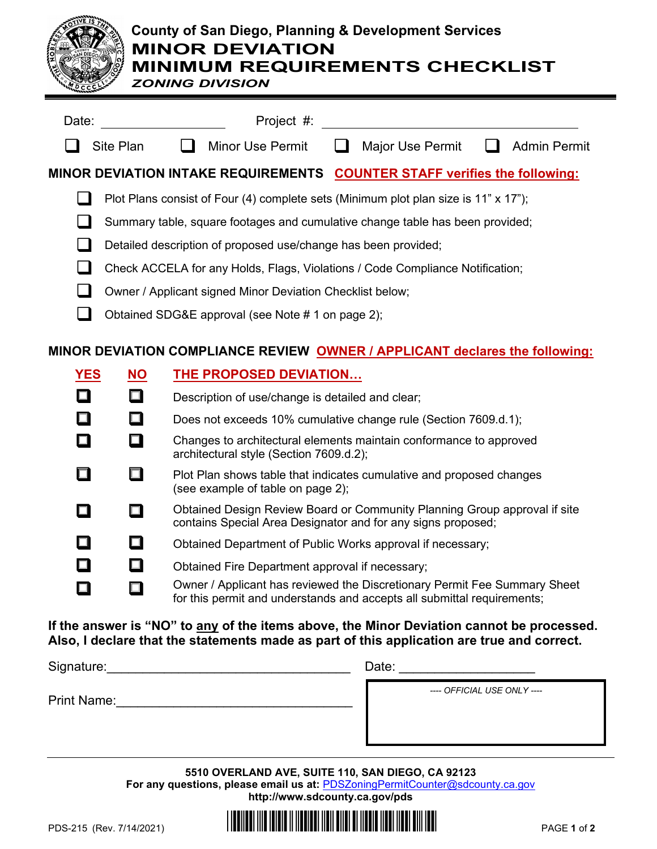

# **County of San Diego, Planning & Development Services MINOR DEVIATION MINIMUM REQUIREMENTS CHECKLIST**

*ZONING DIVISION*

| Date:                                                                       |           | Project #:                                                                    |                                                  |  |                                                                                     |  |                     |  |  |  |
|-----------------------------------------------------------------------------|-----------|-------------------------------------------------------------------------------|--------------------------------------------------|--|-------------------------------------------------------------------------------------|--|---------------------|--|--|--|
|                                                                             | Site Plan |                                                                               | <b>Minor Use Permit</b>                          |  | Major Use Permit                                                                    |  | <b>Admin Permit</b> |  |  |  |
|                                                                             |           |                                                                               |                                                  |  | MINOR DEVIATION INTAKE REQUIREMENTS COUNTER STAFF verifies the following:           |  |                     |  |  |  |
|                                                                             |           |                                                                               |                                                  |  | Plot Plans consist of Four (4) complete sets (Minimum plot plan size is 11" x 17"); |  |                     |  |  |  |
|                                                                             |           | Summary table, square footages and cumulative change table has been provided; |                                                  |  |                                                                                     |  |                     |  |  |  |
|                                                                             |           | Detailed description of proposed use/change has been provided;                |                                                  |  |                                                                                     |  |                     |  |  |  |
|                                                                             |           | Check ACCELA for any Holds, Flags, Violations / Code Compliance Notification; |                                                  |  |                                                                                     |  |                     |  |  |  |
|                                                                             |           | Owner / Applicant signed Minor Deviation Checklist below;                     |                                                  |  |                                                                                     |  |                     |  |  |  |
|                                                                             |           | Obtained SDG&E approval (see Note # 1 on page 2);                             |                                                  |  |                                                                                     |  |                     |  |  |  |
| MINOR DEVIATION COMPLIANCE REVIEW OWNER / APPLICANT declares the following: |           |                                                                               |                                                  |  |                                                                                     |  |                     |  |  |  |
| <b>YES</b>                                                                  | <b>NO</b> |                                                                               | <b>THE PROPOSED DEVIATION</b>                    |  |                                                                                     |  |                     |  |  |  |
|                                                                             | $\Box$    |                                                                               | Description of use/change is detailed and clear; |  |                                                                                     |  |                     |  |  |  |
|                                                                             | $\Box$    |                                                                               |                                                  |  | Does not exceeds 10% cumulative change rule (Section 7609.d.1);                     |  |                     |  |  |  |
|                                                                             |           |                                                                               | architectural style (Section 7609.d.2);          |  | Changes to architectural elements maintain conformance to approved                  |  |                     |  |  |  |

- $\Box$  Plot Plan shows table that indicates cumulative and proposed changes (see example of table on page 2);
- **Obtained Design Review Board or Community Planning Group approval if site** contains Special Area Designator and for any signs proposed;
- $\Box$  Obtained Department of Public Works approval if necessary;
- $\Box$  Obtained Fire Department approval if necessary;
- Owner / Applicant has reviewed the Discretionary Permit Fee Summary Sheet for this permit and understands and accepts all submittal requirements;

## **If the answer is "NO" to any of the items above, the Minor Deviation cannot be processed. Also, I declare that the statements made as part of this application are true and correct.**

| Signature:         | Date:                       |
|--------------------|-----------------------------|
| <b>Print Name:</b> | ---- OFFICIAL USE ONLY ---- |
|                    |                             |

**5510 OVERLAND AVE, SUITE 110, SAN DIEGO, CA 92123 For any questions, please email us at:** [PDSZoningPermitCounter@sdcounty.ca.gov](mailto:PDSZoningPermitCounter@sdcounty.ca.gov) **<http://www.sdcounty.ca.gov/pds>**